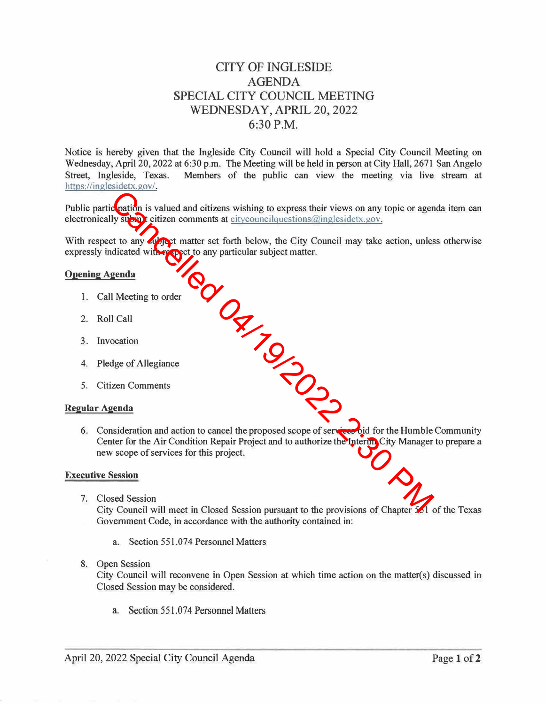# CITY OF INGLESIDE AGENDA SPECIAL CITY COUNCIL MEETING WEDNESDAY, APRIL 20, 2022 6:30 P.M.

Notice is hereby given that the Ingleside City Council will hold a Special City Council Meeting on Wednesday, April 20, 2022 at 6:30 p.m. The Meeting will be held in person at City Hall, 2671 San Angelo Street, Ingleside, Texas. Members of the public can view the meeting via live stream at https://inglesidetx.gov/.

Public partic pation is valued and citizens wishing to express their views on any topic or agenda item can electronically submit citizen comments at citycouncilquestions@inglesidetx.gov.

With respect to any subject matter set forth below, the City Council may take action, unless otherwise expressly indicated with respect to any particular subject matter.

## **Opening Agenda**

- 1. Call Meeting to order
- 2. Roll Call
- 3. Invocation
- 4. Pledge of Allegiance
- 5. Citizen Comments

## **Regular Agenda**

6. Consideration and action to cancel the proposed scope of services bid for the Humble Community Center for the Air Condition Repair Project and to authorize the Interim City Manager to prepare a new scope of services for this project. TRIVER 19/20

#### **Executive Session**

7. Closed Session

City Council will meet in Closed Session pursuant to the provisions of Chapter 551 of the Texas Government Code, in accordance with the authority contained in:

- a. Section 551.074 Personnel Matters
- 8. Open Session

City Council will reconvene in Open Session at which time action on the matter(s) discussed in Closed Session may be considered.

a. Section 551.074 Personnel Matters